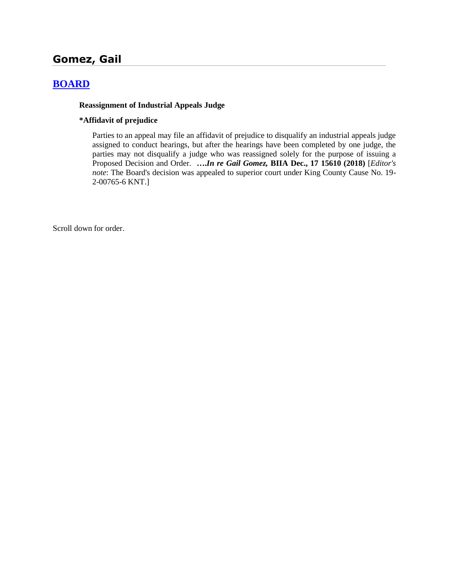# **Gomez, Gail**

## **[BOARD](http://www.biia.wa.gov/SDSubjectIndex.html#BOARD)**

#### **Reassignment of Industrial Appeals Judge**

#### **\*Affidavit of prejudice**

Parties to an appeal may file an affidavit of prejudice to disqualify an industrial appeals judge assigned to conduct hearings, but after the hearings have been completed by one judge, the parties may not disqualify a judge who was reassigned solely for the purpose of issuing a Proposed Decision and Order. **….***In re Gail Gomez,* **BIIA Dec., 17 15610 (2018)** [*Editor's note*: The Board's decision was appealed to superior court under King County Cause No. 19- 2-00765-6 KNT.]

Scroll down for order.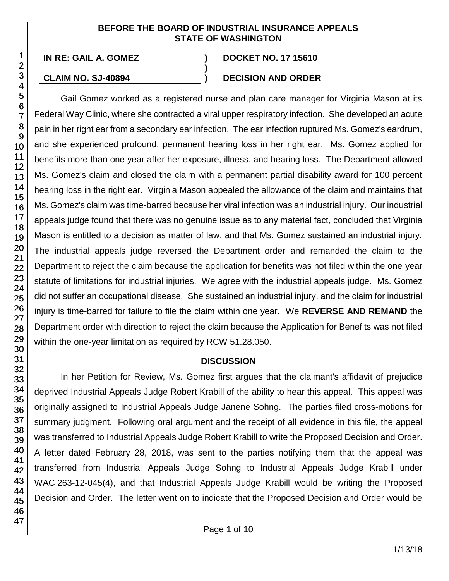#### **BEFORE THE BOARD OF INDUSTRIAL INSURANCE APPEALS STATE OF WASHINGTON**

**)**

## **CLAIM NO. SJ-40894 ) DECISION AND ORDER**

# **IN RE: GAIL A. GOMEZ ) DOCKET NO. 17 15610**

Gail Gomez worked as a registered nurse and plan care manager for Virginia Mason at its Federal Way Clinic, where she contracted a viral upper respiratory infection. She developed an acute pain in her right ear from a secondary ear infection. The ear infection ruptured Ms. Gomez's eardrum, and she experienced profound, permanent hearing loss in her right ear. Ms. Gomez applied for benefits more than one year after her exposure, illness, and hearing loss. The Department allowed Ms. Gomez's claim and closed the claim with a permanent partial disability award for 100 percent hearing loss in the right ear. Virginia Mason appealed the allowance of the claim and maintains that Ms. Gomez's claim was time-barred because her viral infection was an industrial injury. Our industrial appeals judge found that there was no genuine issue as to any material fact, concluded that Virginia Mason is entitled to a decision as matter of law, and that Ms. Gomez sustained an industrial injury. The industrial appeals judge reversed the Department order and remanded the claim to the Department to reject the claim because the application for benefits was not filed within the one year statute of limitations for industrial injuries. We agree with the industrial appeals judge. Ms. Gomez did not suffer an occupational disease. She sustained an industrial injury, and the claim for industrial injury is time-barred for failure to file the claim within one year. We **REVERSE AND REMAND** the Department order with direction to reject the claim because the Application for Benefits was not filed within the one-year limitation as required by RCW 51.28.050.

## **DISCUSSION**

In her Petition for Review, Ms. Gomez first argues that the claimant's affidavit of prejudice deprived Industrial Appeals Judge Robert Krabill of the ability to hear this appeal. This appeal was originally assigned to Industrial Appeals Judge Janene Sohng. The parties filed cross-motions for summary judgment. Following oral argument and the receipt of all evidence in this file, the appeal was transferred to Industrial Appeals Judge Robert Krabill to write the Proposed Decision and Order. A letter dated February 28, 2018, was sent to the parties notifying them that the appeal was transferred from Industrial Appeals Judge Sohng to Industrial Appeals Judge Krabill under WAC 263-12-045(4), and that Industrial Appeals Judge Krabill would be writing the Proposed Decision and Order. The letter went on to indicate that the Proposed Decision and Order would be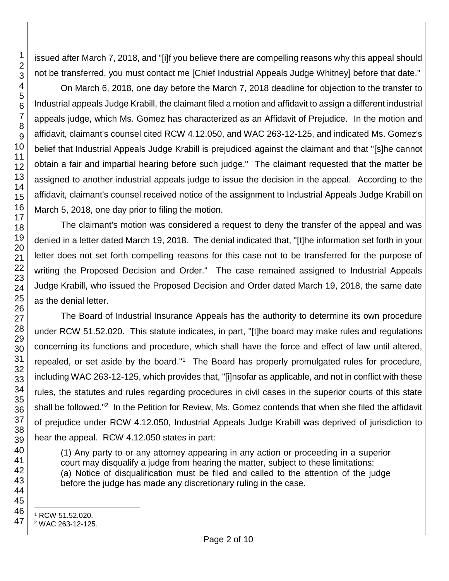issued after March 7, 2018, and "[i]f you believe there are compelling reasons why this appeal should not be transferred, you must contact me [Chief Industrial Appeals Judge Whitney] before that date."

On March 6, 2018, one day before the March 7, 2018 deadline for objection to the transfer to Industrial appeals Judge Krabill, the claimant filed a motion and affidavit to assign a different industrial appeals judge, which Ms. Gomez has characterized as an Affidavit of Prejudice. In the motion and affidavit, claimant's counsel cited RCW 4.12.050, and WAC 263-12-125, and indicated Ms. Gomez's belief that Industrial Appeals Judge Krabill is prejudiced against the claimant and that "[s]he cannot obtain a fair and impartial hearing before such judge." The claimant requested that the matter be assigned to another industrial appeals judge to issue the decision in the appeal. According to the affidavit, claimant's counsel received notice of the assignment to Industrial Appeals Judge Krabill on March 5, 2018, one day prior to filing the motion.

The claimant's motion was considered a request to deny the transfer of the appeal and was denied in a letter dated March 19, 2018. The denial indicated that, "[t]he information set forth in your letter does not set forth compelling reasons for this case not to be transferred for the purpose of writing the Proposed Decision and Order." The case remained assigned to Industrial Appeals Judge Krabill, who issued the Proposed Decision and Order dated March 19, 2018, the same date as the denial letter.

The Board of Industrial Insurance Appeals has the authority to determine its own procedure under RCW 51.52.020. This statute indicates, in part, "[t]he board may make rules and regulations concerning its functions and procedure, which shall have the force and effect of law until altered, repealed, or set aside by the board."<sup>1</sup> The Board has properly promulgated rules for procedure, including WAC 263-12-125, which provides that, "[i]nsofar as applicable, and not in conflict with these rules, the statutes and rules regarding procedures in civil cases in the superior courts of this state shall be followed."<sup>2</sup> In the Petition for Review, Ms. Gomez contends that when she filed the affidavit of prejudice under RCW 4.12.050, Industrial Appeals Judge Krabill was deprived of jurisdiction to hear the appeal. RCW 4.12.050 states in part:

(1) Any party to or any attorney appearing in any action or proceeding in a superior court may disqualify a judge from hearing the matter, subject to these limitations: (a) Notice of disqualification must be filed and called to the attention of the judge before the judge has made any discretionary ruling in the case.

l RCW 51.52.020.

WAC 263-12-125.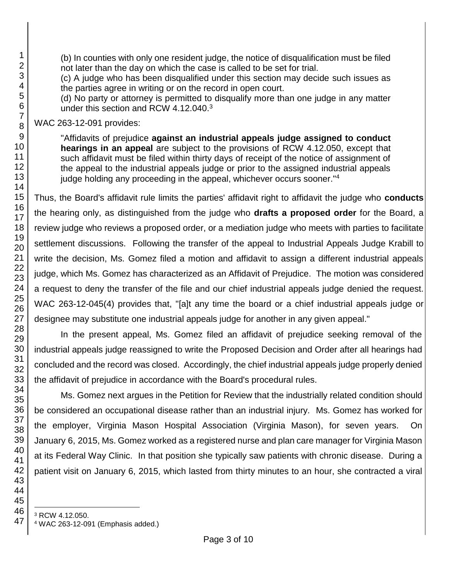(b) In counties with only one resident judge, the notice of disqualification must be filed not later than the day on which the case is called to be set for trial.

(c) A judge who has been disqualified under this section may decide such issues as the parties agree in writing or on the record in open court.

(d) No party or attorney is permitted to disqualify more than one judge in any matter under this section and RCW 4.12.040.<sup>3</sup>

WAC 263-12-091 provides:

"Affidavits of prejudice **against an industrial appeals judge assigned to conduct hearings in an appeal** are subject to the provisions of RCW 4.12.050, except that such affidavit must be filed within thirty days of receipt of the notice of assignment of the appeal to the industrial appeals judge or prior to the assigned industrial appeals judge holding any proceeding in the appeal, whichever occurs sooner."<sup>4</sup>

Thus, the Board's affidavit rule limits the parties' affidavit right to affidavit the judge who **conducts** the hearing only, as distinguished from the judge who **drafts a proposed order** for the Board, a review judge who reviews a proposed order, or a mediation judge who meets with parties to facilitate settlement discussions. Following the transfer of the appeal to Industrial Appeals Judge Krabill to write the decision, Ms. Gomez filed a motion and affidavit to assign a different industrial appeals judge, which Ms. Gomez has characterized as an Affidavit of Prejudice. The motion was considered a request to deny the transfer of the file and our chief industrial appeals judge denied the request. WAC 263-12-045(4) provides that, "[a]t any time the board or a chief industrial appeals judge or designee may substitute one industrial appeals judge for another in any given appeal."

In the present appeal, Ms. Gomez filed an affidavit of prejudice seeking removal of the industrial appeals judge reassigned to write the Proposed Decision and Order after all hearings had concluded and the record was closed. Accordingly, the chief industrial appeals judge properly denied the affidavit of prejudice in accordance with the Board's procedural rules.

Ms. Gomez next argues in the Petition for Review that the industrially related condition should be considered an occupational disease rather than an industrial injury. Ms. Gomez has worked for the employer, Virginia Mason Hospital Association (Virginia Mason), for seven years. On January 6, 2015, Ms. Gomez worked as a registered nurse and plan care manager for Virginia Mason at its Federal Way Clinic. In that position she typically saw patients with chronic disease. During a patient visit on January 6, 2015, which lasted from thirty minutes to an hour, she contracted a viral

<sup>4</sup> WAC 263-12-091 (Emphasis added.)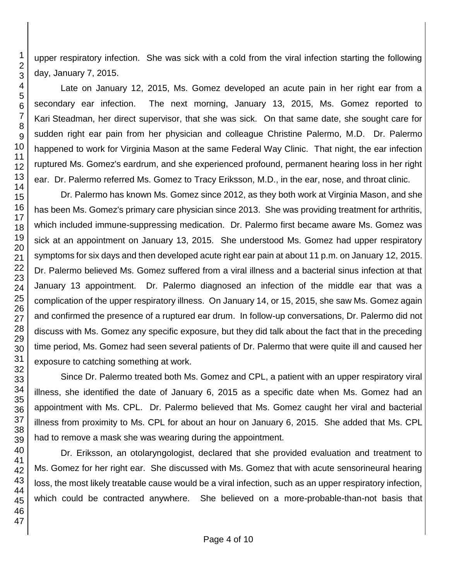upper respiratory infection. She was sick with a cold from the viral infection starting the following day, January 7, 2015.

Late on January 12, 2015, Ms. Gomez developed an acute pain in her right ear from a secondary ear infection. The next morning, January 13, 2015, Ms. Gomez reported to Kari Steadman, her direct supervisor, that she was sick. On that same date, she sought care for sudden right ear pain from her physician and colleague Christine Palermo, M.D. Dr. Palermo happened to work for Virginia Mason at the same Federal Way Clinic. That night, the ear infection ruptured Ms. Gomez's eardrum, and she experienced profound, permanent hearing loss in her right ear. Dr. Palermo referred Ms. Gomez to Tracy Eriksson, M.D., in the ear, nose, and throat clinic.

Dr. Palermo has known Ms. Gomez since 2012, as they both work at Virginia Mason, and she has been Ms. Gomez's primary care physician since 2013. She was providing treatment for arthritis, which included immune-suppressing medication. Dr. Palermo first became aware Ms. Gomez was sick at an appointment on January 13, 2015. She understood Ms. Gomez had upper respiratory symptoms for six days and then developed acute right ear pain at about 11 p.m. on January 12, 2015. Dr. Palermo believed Ms. Gomez suffered from a viral illness and a bacterial sinus infection at that January 13 appointment. Dr. Palermo diagnosed an infection of the middle ear that was a complication of the upper respiratory illness. On January 14, or 15, 2015, she saw Ms. Gomez again and confirmed the presence of a ruptured ear drum. In follow-up conversations, Dr. Palermo did not discuss with Ms. Gomez any specific exposure, but they did talk about the fact that in the preceding time period, Ms. Gomez had seen several patients of Dr. Palermo that were quite ill and caused her exposure to catching something at work.

Since Dr. Palermo treated both Ms. Gomez and CPL, a patient with an upper respiratory viral illness, she identified the date of January 6, 2015 as a specific date when Ms. Gomez had an appointment with Ms. CPL. Dr. Palermo believed that Ms. Gomez caught her viral and bacterial illness from proximity to Ms. CPL for about an hour on January 6, 2015. She added that Ms. CPL had to remove a mask she was wearing during the appointment.

Dr. Eriksson, an otolaryngologist, declared that she provided evaluation and treatment to Ms. Gomez for her right ear. She discussed with Ms. Gomez that with acute sensorineural hearing loss, the most likely treatable cause would be a viral infection, such as an upper respiratory infection, which could be contracted anywhere. She believed on a more-probable-than-not basis that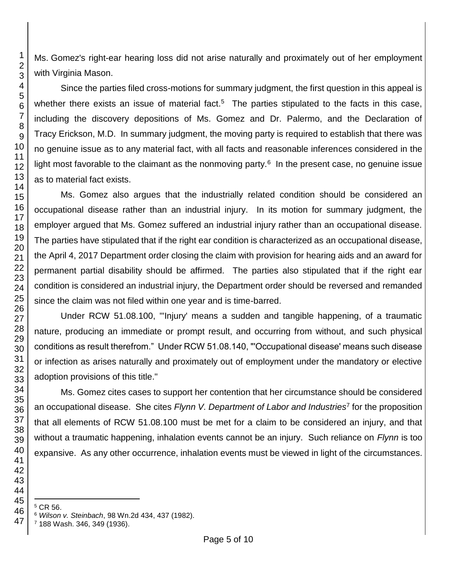Ms. Gomez's right-ear hearing loss did not arise naturally and proximately out of her employment with Virginia Mason.

Since the parties filed cross-motions for summary judgment, the first question in this appeal is whether there exists an issue of material fact.<sup>5</sup> The parties stipulated to the facts in this case, including the discovery depositions of Ms. Gomez and Dr. Palermo, and the Declaration of Tracy Erickson, M.D. In summary judgment, the moving party is required to establish that there was no genuine issue as to any material fact, with all facts and reasonable inferences considered in the light most favorable to the claimant as the nonmoving party.<sup>6</sup> In the present case, no genuine issue as to material fact exists.

Ms. Gomez also argues that the industrially related condition should be considered an occupational disease rather than an industrial injury. In its motion for summary judgment, the employer argued that Ms. Gomez suffered an industrial injury rather than an occupational disease. The parties have stipulated that if the right ear condition is characterized as an occupational disease, the April 4, 2017 Department order closing the claim with provision for hearing aids and an award for permanent partial disability should be affirmed. The parties also stipulated that if the right ear condition is considered an industrial injury, the Department order should be reversed and remanded since the claim was not filed within one year and is time-barred.

Under RCW 51.08.100, "'Injury' means a sudden and tangible happening, of a traumatic nature, producing an immediate or prompt result, and occurring from without, and such physical conditions as result therefrom." Under RCW 51.08.140, "'Occupational disease' means such disease or infection as arises naturally and proximately out of employment under the mandatory or elective adoption provisions of this title."

Ms. Gomez cites cases to support her contention that her circumstance should be considered an occupational disease. She cites *Flynn V. Department of Labor and Industries*<sup>7</sup> for the proposition that all elements of RCW 51.08.100 must be met for a claim to be considered an injury, and that without a traumatic happening, inhalation events cannot be an injury. Such reliance on *Flynn* is too expansive. As any other occurrence, inhalation events must be viewed in light of the circumstances.

CR 56.

l

188 Wash. 346, 349 (1936).

*Wilson v. Steinbach*, 98 Wn.2d 434, 437 (1982).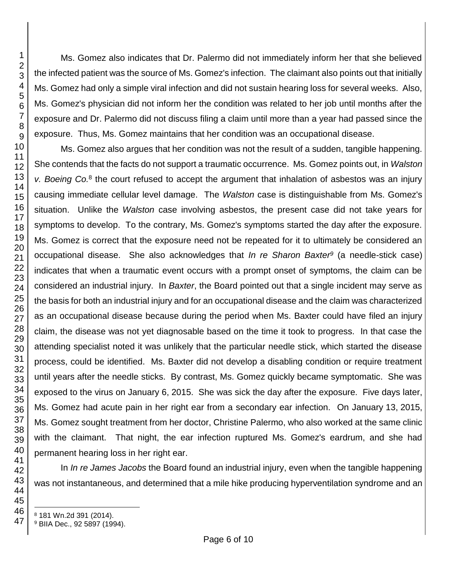Ms. Gomez also indicates that Dr. Palermo did not immediately inform her that she believed the infected patient was the source of Ms. Gomez's infection. The claimant also points out that initially Ms. Gomez had only a simple viral infection and did not sustain hearing loss for several weeks. Also, Ms. Gomez's physician did not inform her the condition was related to her job until months after the exposure and Dr. Palermo did not discuss filing a claim until more than a year had passed since the exposure. Thus, Ms. Gomez maintains that her condition was an occupational disease.

Ms. Gomez also argues that her condition was not the result of a sudden, tangible happening. She contends that the facts do not support a traumatic occurrence. Ms. Gomez points out, in *Walston*  v. Boeing Co.<sup>8</sup> the court refused to accept the argument that inhalation of asbestos was an injury causing immediate cellular level damage. The *Walston* case is distinguishable from Ms. Gomez's situation. Unlike the *Walston* case involving asbestos, the present case did not take years for symptoms to develop. To the contrary, Ms. Gomez's symptoms started the day after the exposure. Ms. Gomez is correct that the exposure need not be repeated for it to ultimately be considered an occupational disease. She also acknowledges that *In re Sharon Baxter<sup>9</sup>* (a needle-stick case) indicates that when a traumatic event occurs with a prompt onset of symptoms, the claim can be considered an industrial injury. In *Baxter*, the Board pointed out that a single incident may serve as the basis for both an industrial injury and for an occupational disease and the claim was characterized as an occupational disease because during the period when Ms. Baxter could have filed an injury claim, the disease was not yet diagnosable based on the time it took to progress. In that case the attending specialist noted it was unlikely that the particular needle stick, which started the disease process, could be identified. Ms. Baxter did not develop a disabling condition or require treatment until years after the needle sticks. By contrast, Ms. Gomez quickly became symptomatic. She was exposed to the virus on January 6, 2015. She was sick the day after the exposure. Five days later, Ms. Gomez had acute pain in her right ear from a secondary ear infection. On January 13, 2015, Ms. Gomez sought treatment from her doctor, Christine Palermo, who also worked at the same clinic with the claimant. That night, the ear infection ruptured Ms. Gomez's eardrum, and she had permanent hearing loss in her right ear.

In *In re James Jacobs* the Board found an industrial injury, even when the tangible happening was not instantaneous, and determined that a mile hike producing hyperventilation syndrome and an

181 Wn.2d 391 (2014).

BIIA Dec., 92 5897 (1994).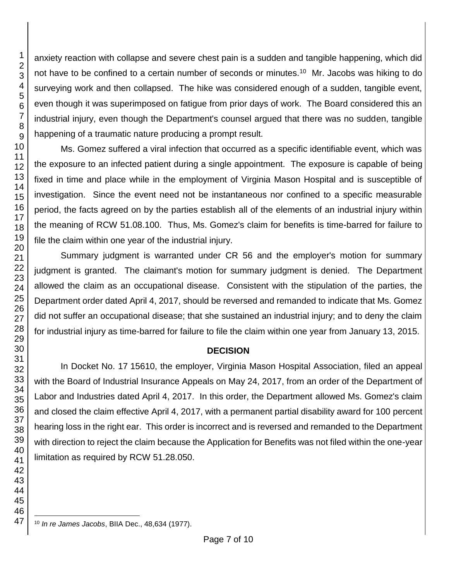anxiety reaction with collapse and severe chest pain is a sudden and tangible happening, which did not have to be confined to a certain number of seconds or minutes.<sup>10</sup> Mr. Jacobs was hiking to do surveying work and then collapsed. The hike was considered enough of a sudden, tangible event, even though it was superimposed on fatigue from prior days of work. The Board considered this an industrial injury, even though the Department's counsel argued that there was no sudden, tangible happening of a traumatic nature producing a prompt result.

Ms. Gomez suffered a viral infection that occurred as a specific identifiable event, which was the exposure to an infected patient during a single appointment. The exposure is capable of being fixed in time and place while in the employment of Virginia Mason Hospital and is susceptible of investigation. Since the event need not be instantaneous nor confined to a specific measurable period, the facts agreed on by the parties establish all of the elements of an industrial injury within the meaning of RCW 51.08.100. Thus, Ms. Gomez's claim for benefits is time-barred for failure to file the claim within one year of the industrial injury.

Summary judgment is warranted under CR 56 and the employer's motion for summary judgment is granted. The claimant's motion for summary judgment is denied. The Department allowed the claim as an occupational disease. Consistent with the stipulation of the parties, the Department order dated April 4, 2017, should be reversed and remanded to indicate that Ms. Gomez did not suffer an occupational disease; that she sustained an industrial injury; and to deny the claim for industrial injury as time-barred for failure to file the claim within one year from January 13, 2015.

#### **DECISION**

In Docket No. 17 15610, the employer, Virginia Mason Hospital Association, filed an appeal with the Board of Industrial Insurance Appeals on May 24, 2017, from an order of the Department of Labor and Industries dated April 4, 2017. In this order, the Department allowed Ms. Gomez's claim and closed the claim effective April 4, 2017, with a permanent partial disability award for 100 percent hearing loss in the right ear. This order is incorrect and is reversed and remanded to the Department with direction to reject the claim because the Application for Benefits was not filed within the one-year limitation as required by RCW 51.28.050.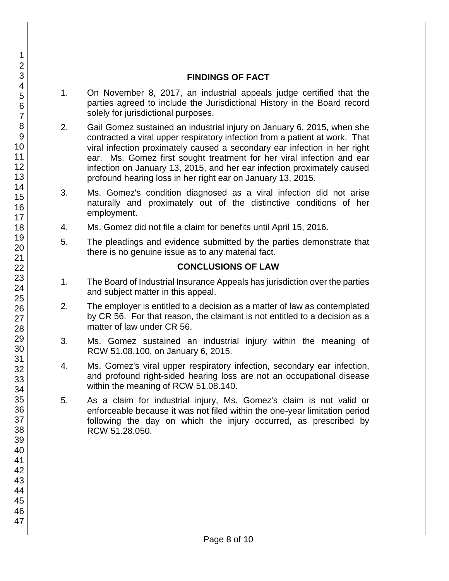## **FINDINGS OF FACT**

- 1. On November 8, 2017, an industrial appeals judge certified that the parties agreed to include the Jurisdictional History in the Board record solely for jurisdictional purposes.
- 2. Gail Gomez sustained an industrial injury on January 6, 2015, when she contracted a viral upper respiratory infection from a patient at work. That viral infection proximately caused a secondary ear infection in her right ear. Ms. Gomez first sought treatment for her viral infection and ear infection on January 13, 2015, and her ear infection proximately caused profound hearing loss in her right ear on January 13, 2015.
- 3. Ms. Gomez's condition diagnosed as a viral infection did not arise naturally and proximately out of the distinctive conditions of her employment.
- 4. Ms. Gomez did not file a claim for benefits until April 15, 2016.
- 5. The pleadings and evidence submitted by the parties demonstrate that there is no genuine issue as to any material fact.

## **CONCLUSIONS OF LAW**

- 1. The Board of Industrial Insurance Appeals has jurisdiction over the parties and subject matter in this appeal.
- 2. The employer is entitled to a decision as a matter of law as contemplated by CR 56. For that reason, the claimant is not entitled to a decision as a matter of law under CR 56.
- 3. Ms. Gomez sustained an industrial injury within the meaning of RCW 51.08.100, on January 6, 2015.
- 4. Ms. Gomez's viral upper respiratory infection, secondary ear infection, and profound right-sided hearing loss are not an occupational disease within the meaning of RCW 51.08.140.
- 5. As a claim for industrial injury, Ms. Gomez's claim is not valid or enforceable because it was not filed within the one-year limitation period following the day on which the injury occurred, as prescribed by RCW 51.28.050.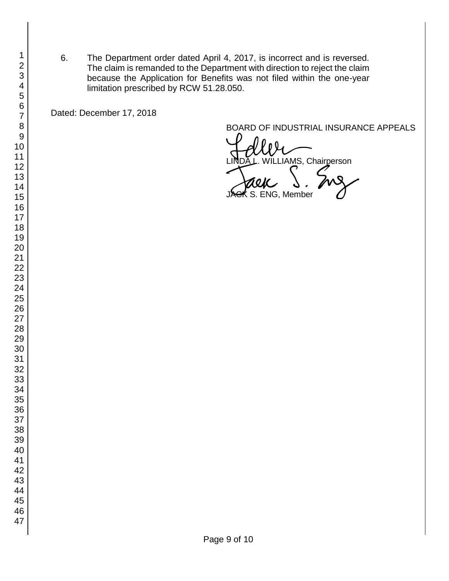6. The Department order dated April 4, 2017, is incorrect and is reversed. The claim is remanded to the Department with direction to reject the claim because the Application for Benefits was not filed within the one-year limitation prescribed by RCW 51.28.050.

Dated: December 17, 2018

BOARD OF INDUSTRIAL INSURANCE APPEALS

WLLIAMS, Chairperson **ENG, Member**